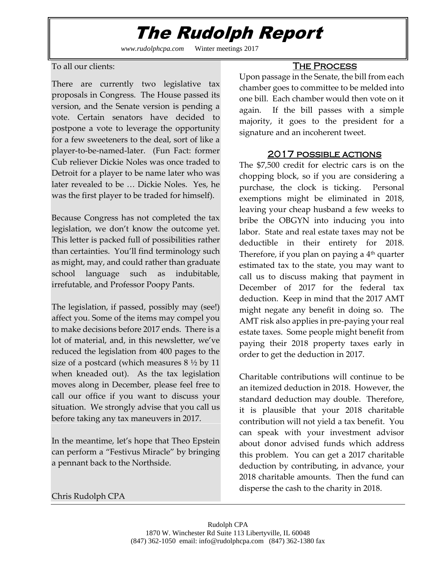## The Rudolph Report

*www.rudolphcpa.com* Winter meetings 2017

To all our clients:

There are currently two legislative tax proposals in Congress. The House passed its version, and the Senate version is pending a vote. Certain senators have decided to postpone a vote to leverage the opportunity for a few sweeteners to the deal, sort of like a player-to-be-named-later. (Fun Fact: former Cub reliever Dickie Noles was once traded to Detroit for a player to be name later who was later revealed to be … Dickie Noles. Yes, he was the first player to be traded for himself).

Because Congress has not completed the tax legislation, we don't know the outcome yet. This letter is packed full of possibilities rather than certainties. You'll find terminology such as might, may, and could rather than graduate school language such as indubitable, irrefutable, and Professor Poopy Pants.

The legislation, if passed, possibly may (see!) affect you. Some of the items may compel you to make decisions before 2017 ends. There is a lot of material, and, in this newsletter, we've reduced the legislation from 400 pages to the size of a postcard (which measures 8 ½ by 11 when kneaded out). As the tax legislation moves along in December, please feel free to call our office if you want to discuss your situation. We strongly advise that you call us before taking any tax maneuvers in 2017.

In the meantime, let's hope that Theo Epstein can perform a "Festivus Miracle" by bringing a pennant back to the Northside.

### THE PROCESS

Upon passage in the Senate, the bill from each chamber goes to committee to be melded into one bill. Each chamber would then vote on it again. If the bill passes with a simple majority, it goes to the president for a signature and an incoherent tweet.

### 2017 possible actions

The \$7,500 credit for electric cars is on the chopping block, so if you are considering a purchase, the clock is ticking. Personal exemptions might be eliminated in 2018, leaving your cheap husband a few weeks to bribe the OBGYN into inducing you into labor. State and real estate taxes may not be deductible in their entirety for 2018. Therefore, if you plan on paying a 4th quarter estimated tax to the state, you may want to call us to discuss making that payment in December of 2017 for the federal tax deduction. Keep in mind that the 2017 AMT might negate any benefit in doing so. The AMT risk also applies in pre-paying your real estate taxes. Some people might benefit from paying their 2018 property taxes early in order to get the deduction in 2017.

Charitable contributions will continue to be an itemized deduction in 2018. However, the standard deduction may double. Therefore, it is plausible that your 2018 charitable contribution will not yield a tax benefit. You can speak with your investment advisor about donor advised funds which address this problem. You can get a 2017 charitable deduction by contributing, in advance, your 2018 charitable amounts. Then the fund can disperse the cash to the charity in 2018.

#### Chris Rudolph CPA